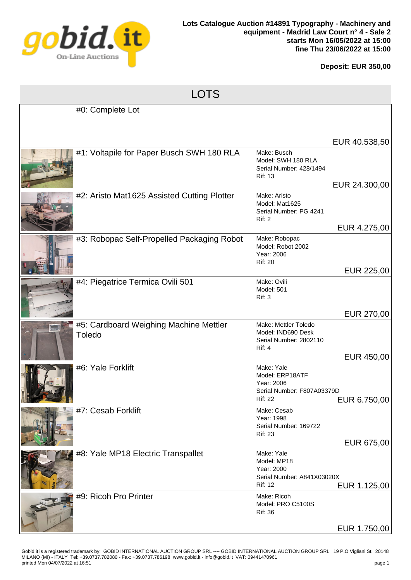

## **Deposit: EUR 350,00**

| <b>LOTS</b> |                                                  |                                                                                             |                            |  |
|-------------|--------------------------------------------------|---------------------------------------------------------------------------------------------|----------------------------|--|
|             | #0: Complete Lot                                 |                                                                                             |                            |  |
|             |                                                  |                                                                                             | EUR 40.538,50              |  |
|             | #1: Voltapile for Paper Busch SWH 180 RLA        | Make: Busch<br>Model: SWH 180 RLA<br>Serial Number: 428/1494<br><b>Rif: 13</b>              |                            |  |
|             | #2: Aristo Mat1625 Assisted Cutting Plotter      | Make: Aristo<br>Model: Mat1625<br>Serial Number: PG 4241<br>Rif: 2                          | EUR 24.300,00              |  |
|             | #3: Robopac Self-Propelled Packaging Robot       | Make: Robopac<br>Model: Robot 2002<br>Year: 2006<br><b>Rif: 20</b>                          | EUR 4.275,00               |  |
|             | #4: Piegatrice Termica Ovili 501                 | Make: Ovili<br><b>Model: 501</b><br><b>Rif: 3</b>                                           | EUR 225,00                 |  |
|             | #5: Cardboard Weighing Machine Mettler<br>Toledo | Make: Mettler Toledo<br>Model: IND690 Desk<br>Serial Number: 2802110<br><b>Rif: 4</b>       | EUR 270,00                 |  |
|             | #6: Yale Forklift                                | Make: Yale<br>Model: ERP18ATF<br>Year: 2006<br>Serial Number: F807A03379D<br><b>Rif: 22</b> | EUR 450,00<br>EUR 6.750,00 |  |
|             | #7: Cesab Forklift                               | Make: Cesab<br>Year: 1998<br>Serial Number: 169722<br><b>Rif: 23</b>                        | EUR 675,00                 |  |
|             | #8: Yale MP18 Electric Transpallet               | Make: Yale<br>Model: MP18<br>Year: 2000<br>Serial Number: A841X03020X<br><b>Rif: 12</b>     | EUR 1.125,00               |  |
|             | #9: Ricoh Pro Printer                            | Make: Ricoh<br>Model: PRO C5100S<br><b>Rif: 36</b>                                          | EUR 1.750,00               |  |